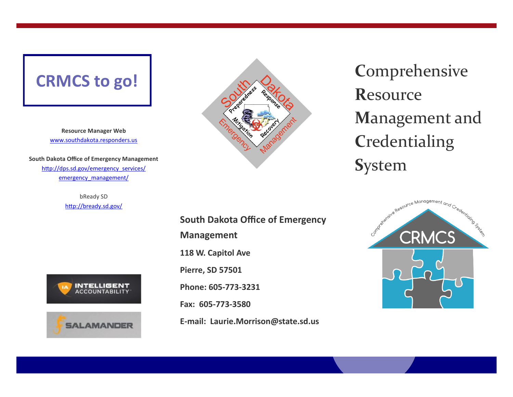## **CRMCS to go!**

**Resource Manager Web** [www.southdakota.responders.us](http://www.southdakota.responders.us)

**South Dakota Office of Emergency Management** [http://dps.sd.gov/emergency\\_services/](http://dps.sd.gov/emergency_services/emergency_management/) [emergency\\_management/](http://dps.sd.gov/emergency_services/emergency_management/)

> bReady SD <http://bready.sd.gov/>







**C**omprehensive **R**esource **M**anagement and **C**redentialing **S**ystem

> Andrease Resource Management and Credentality of the **CRMCS**

**South Dakota Office of Emergency Management 118 W. Capitol Ave Pierre, SD 57501 Phone: 605-773-3231 Fax: 605-773-3580 E-mail: Laurie.Morrison@state.sd.us**